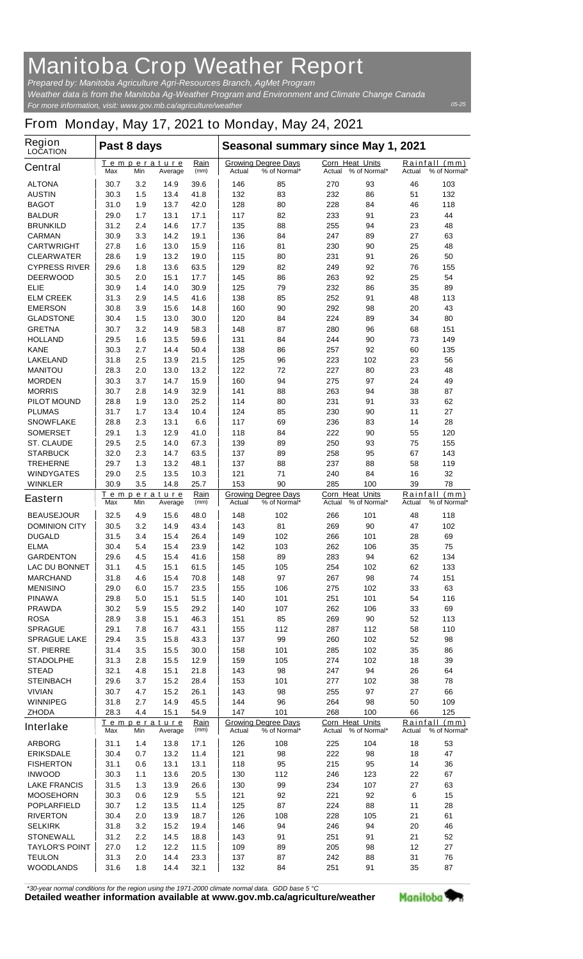## **Manitoba Crop Weather Report**

*For more information, visit: www.gov.mb.ca/agriculture/weather Prepared by: Manitoba Agriculture Agri-Resources Branch, AgMet Program Weather data is from the Manitoba Ag-Weather Program and Environment and Climate Change Canada*

## **From Monday, May 17, 2021 to Monday, May 24, 2021**

| Region<br><b>LOCATION</b>      | Past 8 days                                                 |            |                                                      |              | Seasonal summary since May 1, 2021        |                                            |                                            |              |                    |                      |
|--------------------------------|-------------------------------------------------------------|------------|------------------------------------------------------|--------------|-------------------------------------------|--------------------------------------------|--------------------------------------------|--------------|--------------------|----------------------|
| <b>Central</b>                 | Max                                                         | Min        | Temperature<br>Average                               | Rain<br>(mm) | Actual                                    | <b>Growing Degree Days</b><br>% of Normal* | <b>Corn Heat Units</b><br>Actual           | % of Normal* | Rainfall<br>Actual | (mm)<br>% of Normal* |
| <b>ALTONA</b>                  | 30.7                                                        | 3.2        | 14.9                                                 | 39.6         | 146                                       | 85                                         | 270                                        | 93           | 46                 | 103                  |
| <b>AUSTIN</b>                  | 30.3                                                        | 1.5        | 13.4                                                 | 41.8         | 132                                       | 83                                         | 232                                        | 86           | 51                 | 132                  |
| <b>BAGOT</b>                   | 31.0                                                        | 1.9        | 13.7                                                 | 42.0         | 128                                       | 80                                         | 228                                        | 84           | 46                 | 118                  |
| <b>BALDUR</b>                  | 29.0                                                        | 1.7        | 13.1                                                 | 17.1         | 117                                       | 82                                         | 233                                        | 91           | 23                 | 44                   |
| <b>BRUNKILD</b>                | 31.2                                                        | 2.4        | 14.6                                                 | 17.7         | 135                                       | 88                                         | 255                                        | 94           | 23                 | 48                   |
| <b>CARMAN</b>                  | 30.9                                                        | 3.3        | 14.2                                                 | 19.1         | 136                                       | 84                                         | 247                                        | 89           | 27                 | 63                   |
| <b>CARTWRIGHT</b>              | 27.8                                                        | 1.6        | 13.0                                                 | 15.9         | 116                                       | 81                                         | 230                                        | 90           | 25                 | 48                   |
| <b>CLEARWATER</b>              | 28.6                                                        | 1.9        | 13.2                                                 | 19.0         | 115                                       | 80                                         | 231                                        | 91           | 26                 | 50                   |
| <b>CYPRESS RIVER</b>           | 29.6                                                        | 1.8<br>2.0 | 13.6                                                 | 63.5<br>17.7 | 129                                       | 82<br>86                                   | 249                                        | 92<br>92     | 76<br>25           | 155<br>54            |
| <b>DEERWOOD</b><br><b>ELIE</b> | 30.5<br>30.9                                                | 1.4        | 15.1<br>14.0                                         | 30.9         | 145<br>125                                | 79                                         | 263<br>232                                 | 86           | 35                 | 89                   |
| <b>ELM CREEK</b>               | 31.3                                                        | 2.9        | 14.5                                                 | 41.6         | 138                                       | 85                                         | 252                                        | 91           | 48                 | 113                  |
| <b>EMERSON</b>                 | 30.8                                                        | 3.9        | 15.6                                                 | 14.8         | 160                                       | 90                                         | 292                                        | 98           | 20                 | 43                   |
| <b>GLADSTONE</b>               | 30.4                                                        | 1.5        | 13.0                                                 | 30.0         | 120                                       | 84                                         | 224                                        | 89           | 34                 | 80                   |
| <b>GRETNA</b>                  | 30.7                                                        | 3.2        | 14.9                                                 | 58.3         | 148                                       | 87                                         | 280                                        | 96           | 68                 | 151                  |
| <b>HOLLAND</b>                 | 29.5                                                        | 1.6        | 13.5                                                 | 59.6         | 131                                       | 84                                         | 244                                        | 90           | 73                 | 149                  |
| <b>KANE</b>                    | 30.3                                                        | 2.7        | 14.4                                                 | 50.4         | 138                                       | 86                                         | 257                                        | 92           | 60                 | 135                  |
| <b>LAKELAND</b>                | 31.8                                                        | 2.5        | 13.9                                                 | 21.5         | 125                                       | 96                                         | 223                                        | 102          | 23                 | 56                   |
| <b>MANITOU</b>                 | 28.3                                                        | 2.0        | 13.0                                                 | 13.2         | 122                                       | 72                                         | 227                                        | 80           | 23                 | 48                   |
| <b>MORDEN</b>                  | 30.3                                                        | 3.7        | 14.7                                                 | 15.9         | 160                                       | 94                                         | 275                                        | 97           | 24                 | 49                   |
| <b>MORRIS</b>                  | 30.7                                                        | 2.8        | 14.9                                                 | 32.9         | 141                                       | 88                                         | 263                                        | 94           | 38                 | 87                   |
| <b>PILOT MOUND</b>             | 28.8                                                        | 1.9        | 13.0                                                 | 25.2         | 114                                       | 80                                         | 231                                        | 91           | 33                 | 62                   |
| <b>PLUMAS</b>                  | 31.7                                                        | 1.7        | 13.4                                                 | 10.4         | 124                                       | 85                                         | 230                                        | 90           | 11                 | 27                   |
| <b>SNOWFLAKE</b>               | 28.8                                                        | 2.3        | 13.1                                                 | 6.6          | 117                                       | 69                                         | 236                                        | 83           | 14                 | 28                   |
| <b>SOMERSET</b>                | 29.1                                                        | 1.3        | 12.9                                                 | 41.0         | 118                                       | 84                                         | 222                                        | 90           | 55                 | 120                  |
| <b>ST. CLAUDE</b>              | 29.5                                                        | 2.5        | 14.0                                                 | 67.3         | 139                                       | 89                                         | 250                                        | 93           | 75                 | 155                  |
| <b>STARBUCK</b>                | 32.0                                                        | 2.3        | 14.7                                                 | 63.5         | 137                                       | 89                                         | 258                                        | 95           | 67                 | 143                  |
| <b>TREHERNE</b>                | 29.7                                                        | 1.3        | 13.2                                                 | 48.1         | 137                                       | 88                                         | 237                                        | 88           | 58                 | 119                  |
| <b>WINDYGATES</b>              | 29.0                                                        | 2.5        | 13.5                                                 | 10.3         | 121                                       | 71                                         | 240                                        | 84           | 16                 | 32                   |
| <b>WINKLER</b>                 | 30.9                                                        | 3.5        | 14.8                                                 | 25.7         | 153                                       | 90                                         | 285                                        | 100          | 39                 | 78                   |
| <b>Eastern</b>                 | Rain<br><u>Temperature</u><br>Max<br>Min<br>(mm)<br>Average |            | <b>Growing Degree Days</b><br>Actual<br>% of Normal* |              | Corn Heat Units<br>% of Normal*<br>Actual |                                            | Rainfall<br>(mm)<br>% of Normal*<br>Actual |              |                    |                      |
| <b>BEAUSEJOUR</b>              | 32.5                                                        | 4.9        | 15.6                                                 | 48.0         | 148                                       | 102                                        | 266                                        | 101          | 48                 | 118                  |
| <b>DOMINION CITY</b>           | 30.5                                                        | 3.2        | 14.9                                                 | 43.4         | 143                                       | 81                                         | 269                                        | 90           | 47                 | 102                  |
| <b>DUGALD</b>                  | 31.5                                                        | 3.4        | 15.4                                                 | 26.4         | 149                                       | 102                                        | 266                                        | 101          | 28                 | 69                   |
| <b>ELMA</b>                    | 30.4                                                        | 5.4        | 15.4                                                 | 23.9         | 142                                       | 103                                        | 262                                        | 106          | 35                 | 75                   |
| <b>GARDENTON</b>               | 29.6                                                        | 4.5        | 15.4                                                 | 41.6         | 158                                       | 89                                         | 283                                        | 94           | 62                 | 134                  |
| <b>LAC DU BONNET</b>           | 31.1                                                        | 4.5        | 15.1                                                 | 61.5         | 145                                       | 105                                        | 254                                        | 102          | 62                 | 133                  |
| <b>MARCHAND</b>                | 31.8                                                        | 4.6        | 15.4                                                 | 70.8         | 148                                       | 97                                         | 267                                        | 98           | 74                 | 151                  |
| <b>MENISINO</b>                | 29.0                                                        | 6.0        | 15.7                                                 | 23.5         | 155                                       | 106                                        | 275                                        | 102          | 33                 | 63                   |
| <b>PINAWA</b>                  | 29.8                                                        | 5.0        | 15.1                                                 | 51.5         | 140                                       | 101                                        | 251                                        | 101          | 54                 | 116                  |
| <b>PRAWDA</b>                  | 30.2                                                        | 5.9        | 15.5                                                 | 29.2         | 140                                       | 107                                        | 262                                        | 106          | 33                 | 69                   |
| <b>ROSA</b>                    | 28.9                                                        | 3.8        | 15.1                                                 | 46.3         | 151                                       | 85                                         | 269                                        | 90           | 52                 | 113                  |
| <b>SPRAGUE</b>                 | 29.1                                                        | 7.8        | 16.7                                                 | 43.1         | 155                                       | 112                                        | 287                                        | 112          | 58                 | 110                  |
| <b>SPRAGUE LAKE</b>            | 29.4                                                        | 3.5        | 15.8                                                 | 43.3         | 137                                       | 99                                         | 260                                        | 102          | 52                 | 98                   |
| <b>ST. PIERRE</b>              | 31.4                                                        | 3.5        | 15.5                                                 | 30.0         | 158                                       | 101                                        | 285                                        | 102          | 35                 | 86                   |
| <b>STADOLPHE</b>               | 31.3                                                        | 2.8        | 15.5                                                 | 12.9         | 159                                       | 105                                        | 274                                        | 102          | 18                 | 39                   |
| <b>STEAD</b>                   | 32.1                                                        | 4.8        | 15.1                                                 | 21.8         | 143                                       | 98                                         | 247                                        | 94           | 26                 | 64                   |
| <b>STEINBACH</b>               | 29.6                                                        | 3.7        | 15.2                                                 | 28.4         | 153                                       | 101                                        | 277                                        | 102          | 38                 | 78                   |
| <b>VIVIAN</b>                  | 30.7                                                        | 4.7        | 15.2                                                 | 26.1         | 143                                       | 98                                         | 255                                        | 97           | 27                 | 66                   |
| <b>WINNIPEG</b>                | 31.8                                                        | 2.7        | 14.9                                                 | 45.5         | 144                                       | 96                                         | 264                                        | 98           | 50                 | 109                  |
| <b>ZHODA</b>                   | 28.3                                                        | 4.4        | 15.1                                                 | 54.9         | 147                                       | 101                                        | 268                                        | 100          | 66                 | 125                  |
| <b>Interlake</b>               | Rain<br><u>Temperature</u><br>(mm)<br>Max<br>Min<br>Average |            | <b>Growing Degree Days</b><br>% of Normal*<br>Actual |              | Corn Heat Units<br>Actual % of Normal*    |                                            | Rainfall (mm)<br>% of Normal*<br>Actual    |              |                    |                      |
| <b>ARBORG</b>                  | 31.1                                                        | 1.4        | 13.8                                                 | 17.1         | 126                                       | 108                                        | 225                                        | 104          | 18                 | 53                   |
| <b>ERIKSDALE</b>               | 30.4                                                        | 0.7        | 13.2                                                 | 11.4         | 121                                       | 98                                         | 222                                        | 98           | 18                 | 47                   |
| <b>FISHERTON</b>               | 31.1                                                        | 0.6        | 13.1                                                 | 13.1         | 118                                       | 95                                         | 215                                        | 95           | 14                 | 36                   |
| <b>INWOOD</b>                  | 30.3                                                        | 1.1        | 13.6                                                 | 20.5         | 130                                       | 112                                        | 246                                        | 123          | 22                 | 67                   |
| <b>LAKE FRANCIS</b>            | 31.5                                                        | 1.3        | 13.9                                                 | 26.6         | 130                                       | 99                                         | 234                                        | 107          | 27                 | 63                   |
| <b>MOOSEHORN</b>               | 30.3                                                        | 0.6        | 12.9                                                 | 5.5          | 121                                       | 92                                         | 221                                        | 92           | 6                  | 15                   |
| <b>POPLARFIELD</b>             | 30.7                                                        | $1.2$      | 13.5                                                 | 11.4         | 125                                       | 87                                         | 224                                        | 88           | 11                 | 28                   |
| <b>RIVERTON</b>                | 30.4                                                        | 2.0        | 13.9                                                 | 18.7         | 126                                       | 108                                        | 228                                        | 105          | 21                 | 61                   |
| <b>SELKIRK</b>                 | 31.8                                                        | 3.2        | 15.2                                                 | 19.4         | 146                                       | 94                                         | 246                                        | 94           | 20                 | 46                   |
| <b>STONEWALL</b>               | 31.2                                                        | 2.2        | 14.5                                                 | 18.8         | 143                                       | 91                                         | 251                                        | 91           | 21                 | 52                   |
| <b>TAYLOR'S POINT</b>          | 27.0                                                        | $1.2$      | 12.2                                                 | 11.5         | 109                                       | 89                                         | 205                                        | 98           | 12                 | 27                   |
| <b>TEULON</b>                  | 31.3                                                        | 2.0        | 14.4                                                 | 23.3         | 137                                       | 87                                         | 242                                        | 88           | 31                 | 76                   |
| <b>WOODLANDS</b>               | 31.6                                                        | 1.8        | 14.4                                                 | 32.1         | 132                                       | 84                                         | 251                                        | 91           | 35                 | 87                   |

*\*30-year normal conditions for the region using the 1971-2000 climate normal data. GDD base 5 °C*<br>Detailed weather information available at www.gov.mb.ca/agriculture/weather

Manitoba<sup>9</sup>